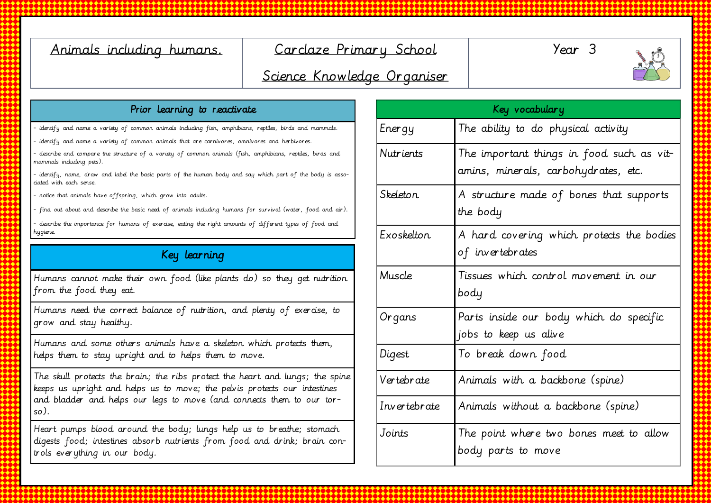## Animals including humans. Carclaze Primary School

Year 3



# Science Knowledge Organiser

#### Prior learning to reactivate

identify and name a variety of common animals including fish, amphibians, reptiles, birds and mammals.

identify and name a variety of common animals that are carnivores, omnivores and herbivores.

- describe and compare the structure of a variety of common animals (fish, amphibians, reptiles, birds and mammals including pets).

identify, name, draw and label the basic parts of the human body and say which part of the body is associated with each sense.

- notice that animals have offspring, which grow into adults.

- find out about and describe the basic need of animals including humans for survival (water, food and air).

describe the importance for humans of exercise, eating the right amounts of different types of food and hygiene.

### Key learning

Humans cannot make their own food (like plants do) so they get nutrition from the food they eat.

Humans need the correct balance of nutrition, and plenty of exercise, to grow and stay healthy.

Humans and some others animals have a skeleton which protects them, helps them to stay upright and to helps them to move.

The skull protects the brain; the ribs protect the heart and lungs; the spine keeps us upright and helps us to move; the pelvis protects our intestines and bladder and helps our legs to move (and connects them to our torso).

Heart pumps blood around the body; lungs help us to breathe; stomach digests food; intestines absorb nutrients from food and drink; brain controls everything in our body.

| Key vocabulary |                                                                                   |
|----------------|-----------------------------------------------------------------------------------|
| Energy         | The ability to do physical activity                                               |
| Nutrients      | The important things in food such as vit-<br>amins, minerals, carbohydrates, etc. |
| Skeleton       | A structure made of bones that supports<br>the body                               |
| Exoskelton     | A hard covering which protects the bodies<br>of invertebrates                     |
| Muscle         | Tissues which control movement in our<br>body                                     |
| Organs         | Parts inside our body which do specific<br>jobs to keep us alive                  |
| Digest         | To break down food                                                                |
| Vertebrate     | Animals with a backbone (spine)                                                   |
| Invertebrate   | Animals without a backbone (spine)                                                |
| Joints         | The point where two bones meet to allow<br>body parts to move                     |